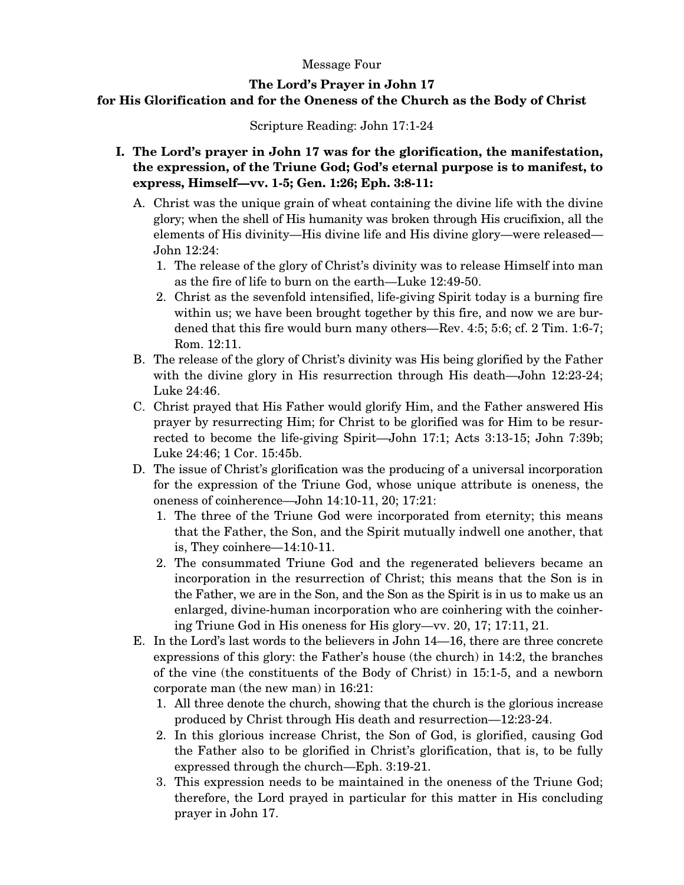## Message Four

## **The Lord's Prayer in John 17**

## **for His Glorification and for the Oneness of the Church as the Body of Christ**

Scripture Reading: John 17:1-24

- **I. The Lord's prayer in John 17 was for the glorification, the manifestation, the expression, of the Triune God; God's eternal purpose is to manifest, to express, Himself—vv. 1-5; Gen. 1:26; Eph. 3:8-11:** 
	- A. Christ was the unique grain of wheat containing the divine life with the divine glory; when the shell of His humanity was broken through His crucifixion, all the elements of His divinity—His divine life and His divine glory—were released— John 12:24:
		- 1. The release of the glory of Christ's divinity was to release Himself into man as the fire of life to burn on the earth—Luke 12:49-50.
		- 2. Christ as the sevenfold intensified, life-giving Spirit today is a burning fire within us; we have been brought together by this fire, and now we are burdened that this fire would burn many others—Rev. 4:5; 5:6; cf. 2 Tim. 1:6-7; Rom. 12:11.
	- B. The release of the glory of Christ's divinity was His being glorified by the Father with the divine glory in His resurrection through His death—John 12:23-24; Luke 24:46.
	- C. Christ prayed that His Father would glorify Him, and the Father answered His prayer by resurrecting Him; for Christ to be glorified was for Him to be resurrected to become the life-giving Spirit—John 17:1; Acts 3:13-15; John 7:39b; Luke 24:46; 1 Cor. 15:45b.
	- D. The issue of Christ's glorification was the producing of a universal incorporation for the expression of the Triune God, whose unique attribute is oneness, the oneness of coinherence—John 14:10-11, 20; 17:21:
		- 1. The three of the Triune God were incorporated from eternity; this means that the Father, the Son, and the Spirit mutually indwell one another, that is, They coinhere—14:10-11.
		- 2. The consummated Triune God and the regenerated believers became an incorporation in the resurrection of Christ; this means that the Son is in the Father, we are in the Son, and the Son as the Spirit is in us to make us an enlarged, divine-human incorporation who are coinhering with the coinhering Triune God in His oneness for His glory—vv. 20, 17; 17:11, 21.
	- E. In the Lord's last words to the believers in John 14—16, there are three concrete expressions of this glory: the Father's house (the church) in 14:2, the branches of the vine (the constituents of the Body of Christ) in 15:1-5, and a newborn corporate man (the new man) in 16:21:
		- 1. All three denote the church, showing that the church is the glorious increase produced by Christ through His death and resurrection—12:23-24.
		- 2. In this glorious increase Christ, the Son of God, is glorified, causing God the Father also to be glorified in Christ's glorification, that is, to be fully expressed through the church—Eph. 3:19-21.
		- 3. This expression needs to be maintained in the oneness of the Triune God; therefore, the Lord prayed in particular for this matter in His concluding prayer in John 17.